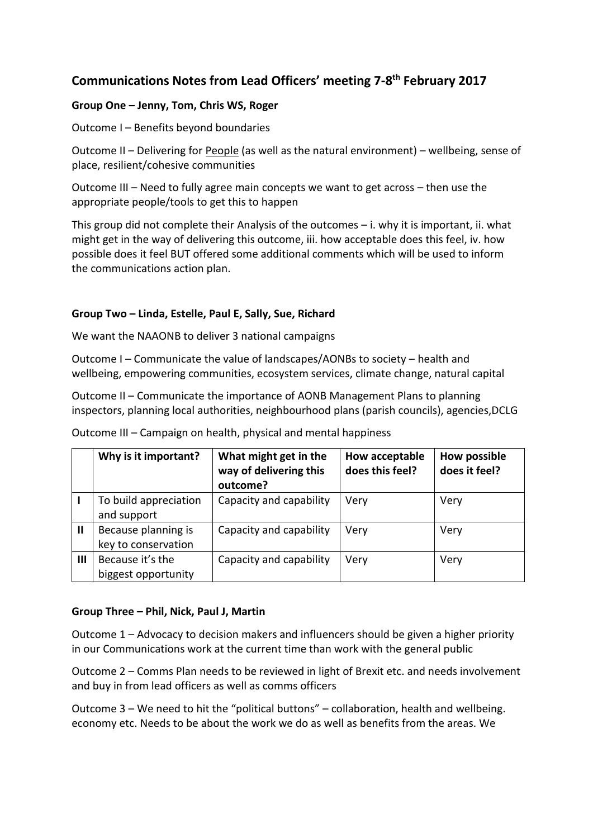# **Communications Notes from Lead Officers' meeting 7-8 th February 2017**

## **Group One – Jenny, Tom, Chris WS, Roger**

Outcome I – Benefits beyond boundaries

Outcome II – Delivering for People (as well as the natural environment) – wellbeing, sense of place, resilient/cohesive communities

Outcome III – Need to fully agree main concepts we want to get across – then use the appropriate people/tools to get this to happen

This group did not complete their Analysis of the outcomes – i. why it is important, ii. what might get in the way of delivering this outcome, iii. how acceptable does this feel, iv. how possible does it feel BUT offered some additional comments which will be used to inform the communications action plan.

### **Group Two – Linda, Estelle, Paul E, Sally, Sue, Richard**

We want the NAAONB to deliver 3 national campaigns

Outcome I – Communicate the value of landscapes/AONBs to society – health and wellbeing, empowering communities, ecosystem services, climate change, natural capital

Outcome II – Communicate the importance of AONB Management Plans to planning inspectors, planning local authorities, neighbourhood plans (parish councils), agencies,DCLG

|   | Why is it important?                       | What might get in the<br>way of delivering this<br>outcome? | How acceptable<br>does this feel? | <b>How possible</b><br>does it feel? |
|---|--------------------------------------------|-------------------------------------------------------------|-----------------------------------|--------------------------------------|
|   | To build appreciation<br>and support       | Capacity and capability                                     | Very                              | Very                                 |
| Ш | Because planning is<br>key to conservation | Capacity and capability                                     | Very                              | Very                                 |
| Ш | Because it's the<br>biggest opportunity    | Capacity and capability                                     | Very                              | Very                                 |

Outcome III – Campaign on health, physical and mental happiness

#### **Group Three – Phil, Nick, Paul J, Martin**

Outcome 1 – Advocacy to decision makers and influencers should be given a higher priority in our Communications work at the current time than work with the general public

Outcome 2 – Comms Plan needs to be reviewed in light of Brexit etc. and needs involvement and buy in from lead officers as well as comms officers

Outcome 3 – We need to hit the "political buttons" – collaboration, health and wellbeing. economy etc. Needs to be about the work we do as well as benefits from the areas. We